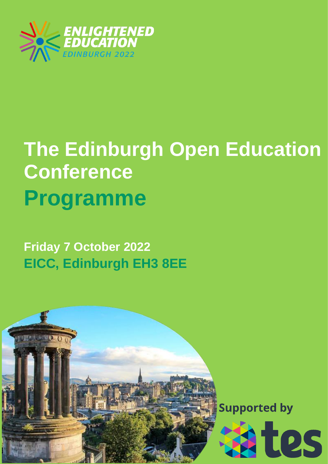

## **The Edinburgh Open Education Conference Programme**

**Friday 7 October 2022 EICC, Edinburgh EH3 8EE**

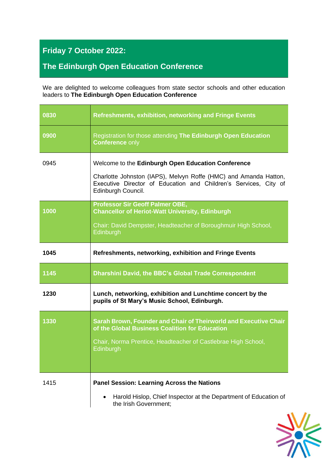## **Friday 7 October 2022:**

## **The Edinburgh Open Education Conference**

We are delighted to welcome colleagues from state sector schools and other education leaders to **The Edinburgh Open Education Conference**

| 0830 | <b>Refreshments, exhibition, networking and Fringe Events</b>                                                                                                                                                    |
|------|------------------------------------------------------------------------------------------------------------------------------------------------------------------------------------------------------------------|
| 0900 | Registration for those attending The Edinburgh Open Education<br><b>Conference only</b>                                                                                                                          |
| 0945 | Welcome to the Edinburgh Open Education Conference<br>Charlotte Johnston (IAPS), Melvyn Roffe (HMC) and Amanda Hatton,<br>Executive Director of Education and Children's Services, City of<br>Edinburgh Council. |
| 1000 | <b>Professor Sir Geoff Palmer OBE,</b><br><b>Chancellor of Heriot-Watt University, Edinburgh</b><br>Chair: David Dempster, Headteacher of Boroughmuir High School,<br>Edinburgh                                  |
| 1045 | <b>Refreshments, networking, exhibition and Fringe Events</b>                                                                                                                                                    |
| 1145 | Dharshini David, the BBC's Global Trade Correspondent                                                                                                                                                            |
| 1230 | Lunch, networking, exhibition and Lunchtime concert by the<br>pupils of St Mary's Music School, Edinburgh.                                                                                                       |
| 1330 |                                                                                                                                                                                                                  |
|      | Sarah Brown, Founder and Chair of Theirworld and Executive Chair<br>of the Global Business Coalition for Education<br>Chair, Norma Prentice, Headteacher of Castlebrae High School,<br>Edinburgh                 |

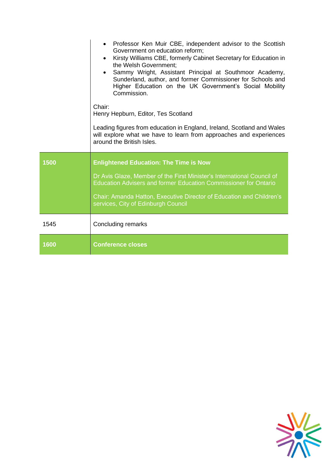|      | Professor Ken Muir CBE, independent advisor to the Scottish<br>$\bullet$<br>Government on education reform;<br>Kirsty Williams CBE, formerly Cabinet Secretary for Education in<br>$\bullet$<br>the Welsh Government;<br>Sammy Wright, Assistant Principal at Southmoor Academy,<br>Sunderland, author, and former Commissioner for Schools and<br>Higher Education on the UK Government's Social Mobility<br>Commission.<br>Chair:<br>Henry Hepburn, Editor, Tes Scotland<br>Leading figures from education in England, Ireland, Scotland and Wales<br>will explore what we have to learn from approaches and experiences<br>around the British Isles. |
|------|---------------------------------------------------------------------------------------------------------------------------------------------------------------------------------------------------------------------------------------------------------------------------------------------------------------------------------------------------------------------------------------------------------------------------------------------------------------------------------------------------------------------------------------------------------------------------------------------------------------------------------------------------------|
| 1500 | <b>Enlightened Education: The Time is Now</b>                                                                                                                                                                                                                                                                                                                                                                                                                                                                                                                                                                                                           |
|      | Dr Avis Glaze, Member of the First Minister's International Council of<br><b>Education Advisers and former Education Commissioner for Ontario</b>                                                                                                                                                                                                                                                                                                                                                                                                                                                                                                       |
|      | Chair: Amanda Hatton, Executive Director of Education and Children's<br>services, City of Edinburgh Council                                                                                                                                                                                                                                                                                                                                                                                                                                                                                                                                             |
| 1545 | <b>Concluding remarks</b>                                                                                                                                                                                                                                                                                                                                                                                                                                                                                                                                                                                                                               |
| 1600 | <b>Conference closes</b>                                                                                                                                                                                                                                                                                                                                                                                                                                                                                                                                                                                                                                |